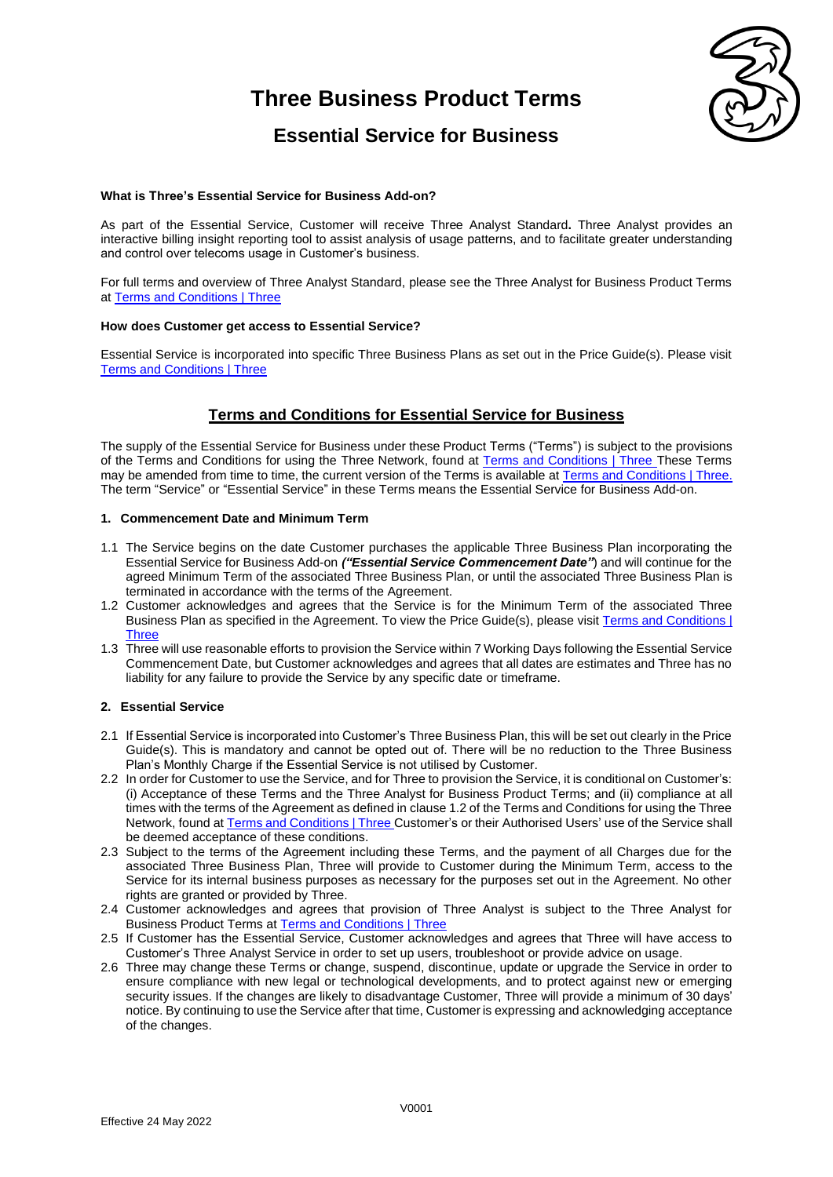## **Three Business Product Terms**



### **Essential Service for Business**

#### **What is Three's Essential Service for Business Add-on?**

As part of the Essential Service, Customer will receive Three Analyst Standard**.** Three Analyst provides an interactive billing insight reporting tool to assist analysis of usage patterns, and to facilitate greater understanding and control over telecoms usage in Customer's business.

For full terms and overview of Three Analyst Standard, please see the Three Analyst for Business Product Terms at [Terms and Conditions | Three](https://www.three.co.uk/terms-conditions)

#### **How does Customer get access to Essential Service?**

Essential Service is incorporated into specific Three Business Plans as set out in the Price Guide(s). Please visit [Terms and Conditions | Three](https://www.three.co.uk/terms-conditions)

### **Terms and Conditions for Essential Service for Business**

The supply of the Essential Service for Business under these Product Terms ("Terms") is subject to the provisions of the Terms and Conditions for using the Three Network, found at [Terms and Conditions | Three](https://www.three.co.uk/terms-conditions) These Terms may be amended from time to time, the current version of the Terms is available at [Terms and Conditions | Three.](https://www.three.co.uk/terms-conditions)  The term "Service" or "Essential Service" in these Terms means the Essential Service for Business Add-on.

#### **1. Commencement Date and Minimum Term**

- 1.1 The Service begins on the date Customer purchases the applicable Three Business Plan incorporating the Essential Service for Business Add-on *("Essential Service Commencement Date"*) and will continue for the agreed Minimum Term of the associated Three Business Plan, or until the associated Three Business Plan is terminated in accordance with the terms of the Agreement.
- 1.2 Customer acknowledges and agrees that the Service is for the Minimum Term of the associated Three Business Plan as specified in the Agreement. To view the Price Guide(s), please visi[t Terms and Conditions |](https://www.three.co.uk/terms-conditions)  [Three](https://www.three.co.uk/terms-conditions)
- 1.3 Three will use reasonable efforts to provision the Service within 7 Working Days following the Essential Service Commencement Date, but Customer acknowledges and agrees that all dates are estimates and Three has no liability for any failure to provide the Service by any specific date or timeframe.

#### **2. Essential Service**

- 2.1 If Essential Service is incorporated into Customer's Three Business Plan, this will be set out clearly in the Price Guide(s). This is mandatory and cannot be opted out of. There will be no reduction to the Three Business Plan's Monthly Charge if the Essential Service is not utilised by Customer.
- 2.2 In order for Customer to use the Service, and for Three to provision the Service, it is conditional on Customer's: (i) Acceptance of these Terms and the Three Analyst for Business Product Terms; and (ii) compliance at all times with the terms of the Agreement as defined in clause 1.2 of the Terms and Conditions for using the Three Network, found a[t Terms and Conditions | Three](https://www.three.co.uk/terms-conditions) Customer's or their Authorised Users' use of the Service shall be deemed acceptance of these conditions.
- 2.3 Subject to the terms of the Agreement including these Terms, and the payment of all Charges due for the associated Three Business Plan, Three will provide to Customer during the Minimum Term, access to the Service for its internal business purposes as necessary for the purposes set out in the Agreement. No other rights are granted or provided by Three.
- 2.4 Customer acknowledges and agrees that provision of Three Analyst is subject to the Three Analyst for Business Product Terms a[t Terms and Conditions | Three](https://www.three.co.uk/terms-conditions)
- 2.5 If Customer has the Essential Service, Customer acknowledges and agrees that Three will have access to Customer's Three Analyst Service in order to set up users, troubleshoot or provide advice on usage.
- 2.6 Three may change these Terms or change, suspend, discontinue, update or upgrade the Service in order to ensure compliance with new legal or technological developments, and to protect against new or emerging security issues. If the changes are likely to disadvantage Customer, Three will provide a minimum of 30 days' notice. By continuing to use the Service after that time, Customer is expressing and acknowledging acceptance of the changes.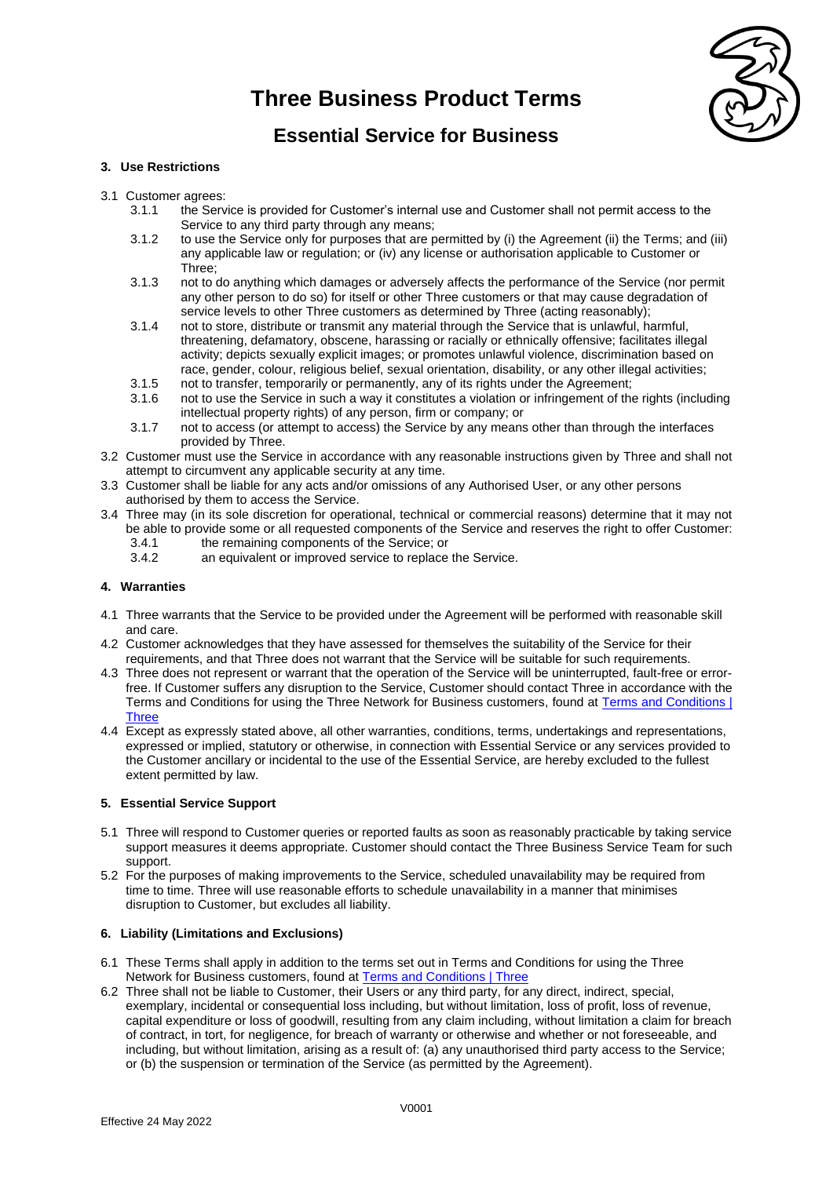## **Three Business Product Terms**



### **Essential Service for Business**

#### **3. Use Restrictions**

- 3.1 Customer agrees:
	- 3.1.1 the Service is provided for Customer's internal use and Customer shall not permit access to the Service to any third party through any means:
	- 3.1.2 to use the Service only for purposes that are permitted by (i) the Agreement (ii) the Terms; and (iii) any applicable law or regulation; or (iv) any license or authorisation applicable to Customer or Three;
	- 3.1.3 not to do anything which damages or adversely affects the performance of the Service (nor permit any other person to do so) for itself or other Three customers or that may cause degradation of service levels to other Three customers as determined by Three (acting reasonably);
	- 3.1.4 not to store, distribute or transmit any material through the Service that is unlawful, harmful, threatening, defamatory, obscene, harassing or racially or ethnically offensive; facilitates illegal activity; depicts sexually explicit images; or promotes unlawful violence, discrimination based on race, gender, colour, religious belief, sexual orientation, disability, or any other illegal activities;
	- 3.1.5 not to transfer, temporarily or permanently, any of its rights under the Agreement;
	- 3.1.6 not to use the Service in such a way it constitutes a violation or infringement of the rights (including intellectual property rights) of any person, firm or company; or
	- 3.1.7 not to access (or attempt to access) the Service by any means other than through the interfaces provided by Three.
- 3.2 Customer must use the Service in accordance with any reasonable instructions given by Three and shall not attempt to circumvent any applicable security at any time.
- 3.3 Customer shall be liable for any acts and/or omissions of any Authorised User, or any other persons authorised by them to access the Service.
- 3.4 Three may (in its sole discretion for operational, technical or commercial reasons) determine that it may not be able to provide some or all requested components of the Service and reserves the right to offer Customer:
	- 3.4.1 the remaining components of the Service; or<br>3.4.2 an equivalent or improved service to replace
	- an equivalent or improved service to replace the Service.

#### **4. Warranties**

- 4.1 Three warrants that the Service to be provided under the Agreement will be performed with reasonable skill and care.
- 4.2 Customer acknowledges that they have assessed for themselves the suitability of the Service for their requirements, and that Three does not warrant that the Service will be suitable for such requirements.
- 4.3 Three does not represent or warrant that the operation of the Service will be uninterrupted, fault-free or errorfree. If Customer suffers any disruption to the Service, Customer should contact Three in accordance with the Terms and Conditions for using the Three Network for Business customers, found at [Terms and Conditions |](https://www.three.co.uk/terms-conditions)  **[Three](https://www.three.co.uk/terms-conditions)**
- 4.4 Except as expressly stated above, all other warranties, conditions, terms, undertakings and representations, expressed or implied, statutory or otherwise, in connection with Essential Service or any services provided to the Customer ancillary or incidental to the use of the Essential Service, are hereby excluded to the fullest extent permitted by law.

#### **5. Essential Service Support**

- 5.1 Three will respond to Customer queries or reported faults as soon as reasonably practicable by taking service support measures it deems appropriate. Customer should contact the Three Business Service Team for such support.
- 5.2 For the purposes of making improvements to the Service, scheduled unavailability may be required from time to time. Three will use reasonable efforts to schedule unavailability in a manner that minimises disruption to Customer, but excludes all liability.

#### **6. Liability (Limitations and Exclusions)**

- 6.1 These Terms shall apply in addition to the terms set out in Terms and Conditions for using the Three Network for Business customers, found at [Terms and Conditions | Three](https://www.three.co.uk/terms-conditions)
- 6.2 Three shall not be liable to Customer, their Users or any third party, for any direct, indirect, special, exemplary, incidental or consequential loss including, but without limitation, loss of profit, loss of revenue, capital expenditure or loss of goodwill, resulting from any claim including, without limitation a claim for breach of contract, in tort, for negligence, for breach of warranty or otherwise and whether or not foreseeable, and including, but without limitation, arising as a result of: (a) any unauthorised third party access to the Service; or (b) the suspension or termination of the Service (as permitted by the Agreement).